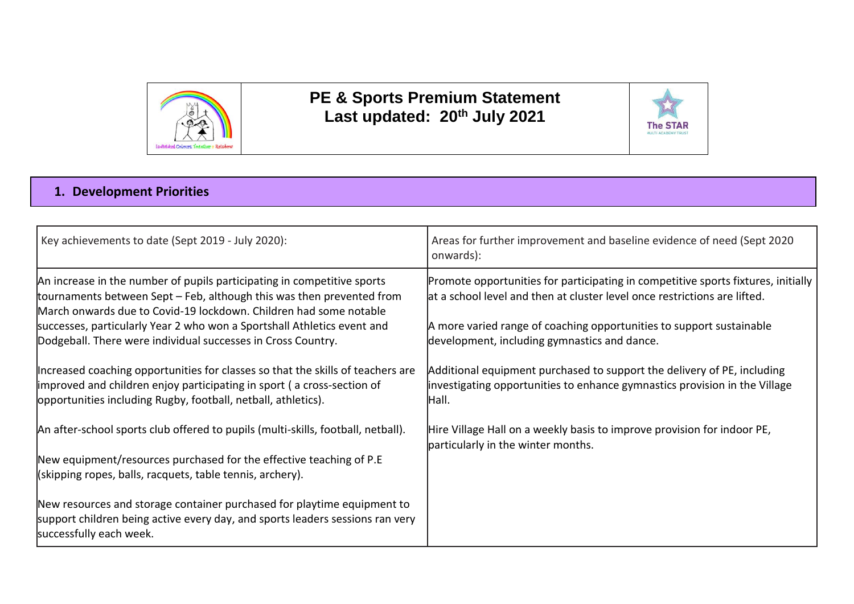

## **PE & Sports Premium Statement Last updated: 20th July 2021**



## **1. Development Priorities**

| Key achievements to date (Sept 2019 - July 2020):                                                                                                                                                                                                                                                                                                                | Areas for further improvement and baseline evidence of need (Sept 2020<br>onwards):                                                                                                                                                                                                    |
|------------------------------------------------------------------------------------------------------------------------------------------------------------------------------------------------------------------------------------------------------------------------------------------------------------------------------------------------------------------|----------------------------------------------------------------------------------------------------------------------------------------------------------------------------------------------------------------------------------------------------------------------------------------|
| An increase in the number of pupils participating in competitive sports<br>tournaments between Sept – Feb, although this was then prevented from<br>March onwards due to Covid-19 lockdown. Children had some notable<br>successes, particularly Year 2 who won a Sportshall Athletics event and<br>Dodgeball. There were individual successes in Cross Country. | Promote opportunities for participating in competitive sports fixtures, initially<br>at a school level and then at cluster level once restrictions are lifted.<br>A more varied range of coaching opportunities to support sustainable<br>development, including gymnastics and dance. |
| Increased coaching opportunities for classes so that the skills of teachers are<br>improved and children enjoy participating in sport (a cross-section of<br>opportunities including Rugby, football, netball, athletics).                                                                                                                                       | Additional equipment purchased to support the delivery of PE, including<br>investigating opportunities to enhance gymnastics provision in the Village<br>Hall.                                                                                                                         |
| An after-school sports club offered to pupils (multi-skills, football, netball).                                                                                                                                                                                                                                                                                 | Hire Village Hall on a weekly basis to improve provision for indoor PE,<br>particularly in the winter months.                                                                                                                                                                          |
| New equipment/resources purchased for the effective teaching of P.E<br>(skipping ropes, balls, racquets, table tennis, archery).                                                                                                                                                                                                                                 |                                                                                                                                                                                                                                                                                        |
| New resources and storage container purchased for playtime equipment to<br>support children being active every day, and sports leaders sessions ran very<br>successfully each week.                                                                                                                                                                              |                                                                                                                                                                                                                                                                                        |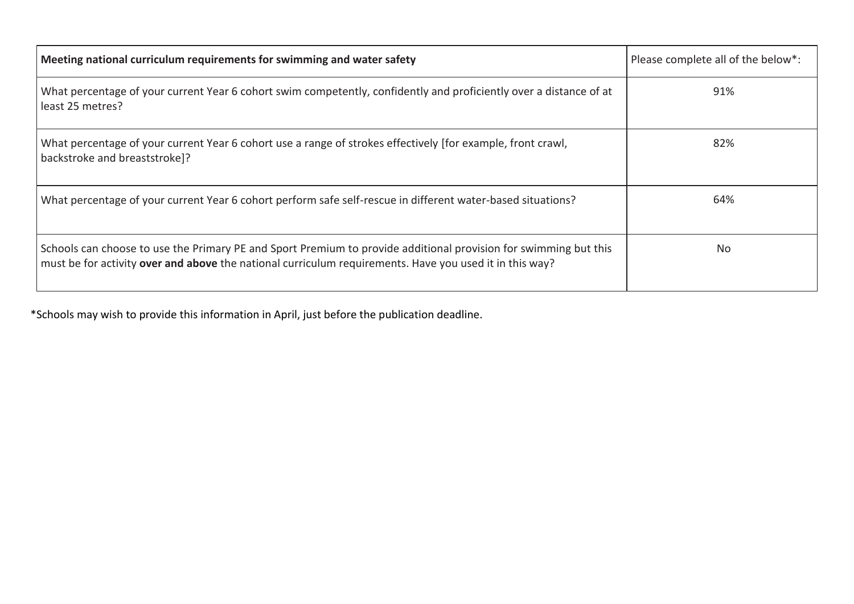| Meeting national curriculum requirements for swimming and water safety                                                                                                                                                      | Please complete all of the below*: |
|-----------------------------------------------------------------------------------------------------------------------------------------------------------------------------------------------------------------------------|------------------------------------|
| What percentage of your current Year 6 cohort swim competently, confidently and proficiently over a distance of at<br>least 25 metres?                                                                                      | 91%                                |
| What percentage of your current Year 6 cohort use a range of strokes effectively [for example, front crawl,<br>backstroke and breaststroke]?                                                                                | 82%                                |
| What percentage of your current Year 6 cohort perform safe self-rescue in different water-based situations?                                                                                                                 | 64%                                |
| Schools can choose to use the Primary PE and Sport Premium to provide additional provision for swimming but this<br>must be for activity over and above the national curriculum requirements. Have you used it in this way? | No                                 |

\*Schools may wish to provide this information in April, just before the publication deadline.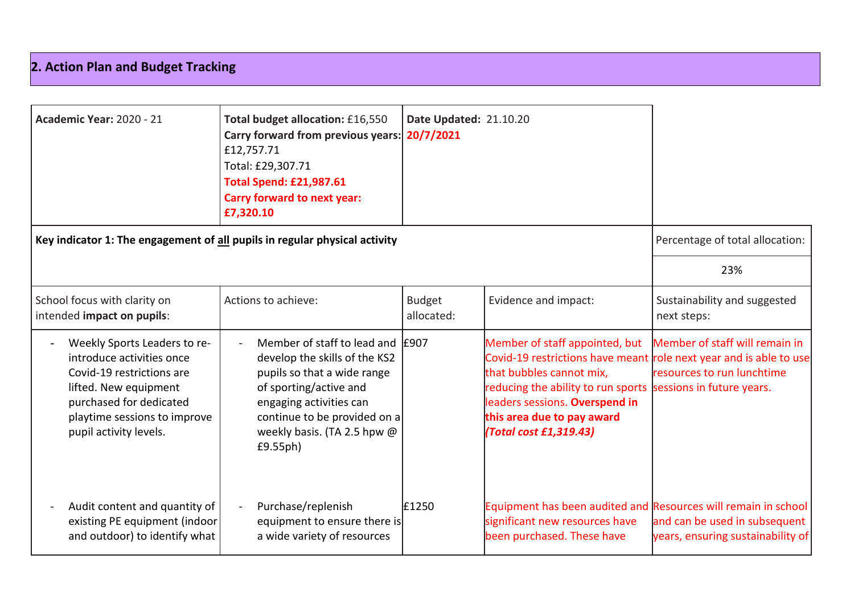## **2. Action Plan and Budget Tracking**

| <b>Academic Year: 2020 - 21</b>                                                                                                                                                                      | Total budget allocation: £16,550<br>Carry forward from previous years:<br>£12,757.71<br>Total: £29,307.71<br><b>Total Spend: £21,987.61</b><br><b>Carry forward to next year:</b><br>£7,320.10                                   | Date Updated: 21.10.20<br>20/7/2021 |                                                                                                                                                                                                                                |                                                                                                                                |
|------------------------------------------------------------------------------------------------------------------------------------------------------------------------------------------------------|----------------------------------------------------------------------------------------------------------------------------------------------------------------------------------------------------------------------------------|-------------------------------------|--------------------------------------------------------------------------------------------------------------------------------------------------------------------------------------------------------------------------------|--------------------------------------------------------------------------------------------------------------------------------|
| Key indicator 1: The engagement of all pupils in regular physical activity                                                                                                                           |                                                                                                                                                                                                                                  |                                     |                                                                                                                                                                                                                                | Percentage of total allocation:                                                                                                |
|                                                                                                                                                                                                      |                                                                                                                                                                                                                                  |                                     |                                                                                                                                                                                                                                | 23%                                                                                                                            |
| School focus with clarity on<br>intended impact on pupils:                                                                                                                                           | Actions to achieve:                                                                                                                                                                                                              | <b>Budget</b><br>allocated:         | Evidence and impact:                                                                                                                                                                                                           | Sustainability and suggested<br>next steps:                                                                                    |
| Weekly Sports Leaders to re-<br>introduce activities once<br>Covid-19 restrictions are<br>lifted. New equipment<br>purchased for dedicated<br>playtime sessions to improve<br>pupil activity levels. | Member of staff to lead and E907<br>develop the skills of the KS2<br>pupils so that a wide range<br>of sporting/active and<br>engaging activities can<br>continue to be provided on a<br>weekly basis. (TA 2.5 hpw @<br>£9.55ph) |                                     | Member of staff appointed, but<br>Covid-19 restrictions have meant<br>that bubbles cannot mix,<br>reducing the ability to run sports<br>leaders sessions. Overspend in<br>this area due to pay award<br>(Total cost £1,319.43) | Member of staff will remain in<br>role next year and is able to use<br>resources to run lunchtime<br>sessions in future years. |
| Audit content and quantity of<br>existing PE equipment (indoor<br>and outdoor) to identify what                                                                                                      | Purchase/replenish<br>equipment to ensure there is<br>a wide variety of resources                                                                                                                                                | £1250                               | Equipment has been audited and Resources will remain in school<br>significant new resources have<br>been purchased. These have                                                                                                 | and can be used in subsequent<br>years, ensuring sustainability of                                                             |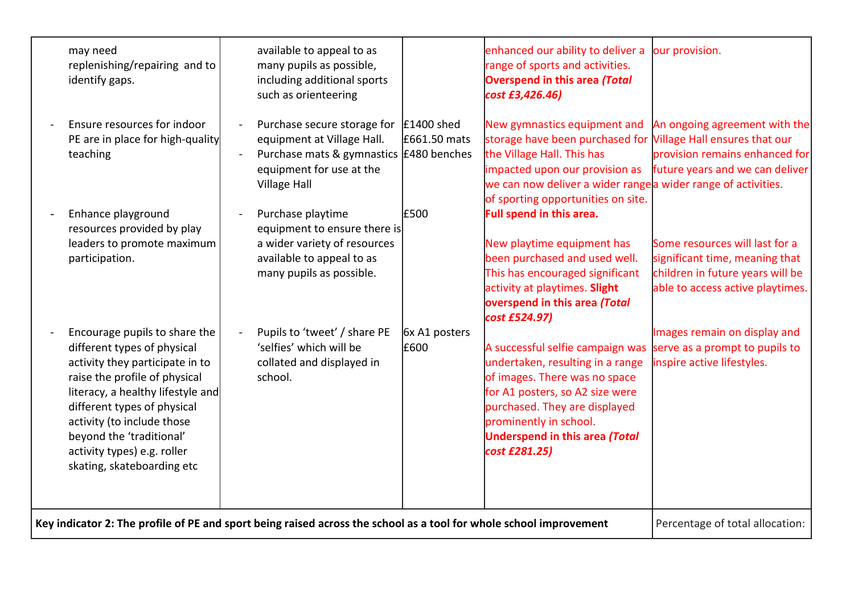| may need<br>replenishing/repairing and to<br>identify gaps.                                                                                                                                                                                                                                                                 | available to appeal to as<br>many pupils as possible,<br>including additional sports<br>such as orienteering                                            |                              | enhanced our ability to deliver a<br>range of sports and activities.<br><b>Overspend in this area (Total</b><br>cost £3,426.46)                                                                                                                                     | our provision.                                                                                                                           |
|-----------------------------------------------------------------------------------------------------------------------------------------------------------------------------------------------------------------------------------------------------------------------------------------------------------------------------|---------------------------------------------------------------------------------------------------------------------------------------------------------|------------------------------|---------------------------------------------------------------------------------------------------------------------------------------------------------------------------------------------------------------------------------------------------------------------|------------------------------------------------------------------------------------------------------------------------------------------|
| Ensure resources for indoor<br>PE are in place for high-quality<br>teaching                                                                                                                                                                                                                                                 | Purchase secure storage for<br>equipment at Village Hall.<br>Purchase mats & gymnastics £480 benches<br>equipment for use at the<br><b>Village Hall</b> | $E1400$ shed<br>£661.50 mats | New gymnastics equipment and<br>storage have been purchased for Village Hall ensures that our<br>the Village Hall. This has<br>impacted upon our provision as<br>we can now deliver a wider rangea wider range of activities.<br>of sporting opportunities on site. | An ongoing agreement with the<br>provision remains enhanced for<br>future years and we can deliver                                       |
| Enhance playground<br>resources provided by play<br>leaders to promote maximum<br>participation.                                                                                                                                                                                                                            | Purchase playtime<br>equipment to ensure there is<br>a wider variety of resources<br>available to appeal to as<br>many pupils as possible.              | £500                         | Full spend in this area.<br>New playtime equipment has<br>been purchased and used well.<br>This has encouraged significant<br>activity at playtimes. Slight<br>overspend in this area (Total<br>cost £524.97)                                                       | Some resources will last for a<br>significant time, meaning that<br>children in future years will be<br>able to access active playtimes. |
| Encourage pupils to share the<br>different types of physical<br>activity they participate in to<br>raise the profile of physical<br>literacy, a healthy lifestyle and<br>different types of physical<br>activity (to include those<br>beyond the 'traditional'<br>activity types) e.g. roller<br>skating, skateboarding etc | Pupils to 'tweet' / share PE<br>'selfies' which will be<br>collated and displayed in<br>school.                                                         | 6x A1 posters<br>£600        | A successful selfie campaign was<br>undertaken, resulting in a range<br>of images. There was no space<br>for A1 posters, so A2 size were<br>purchased. They are displayed<br>prominently in school.<br><b>Underspend in this area (Total</b><br>cost £281.25)       | Images remain on display and<br>serve as a prompt to pupils to<br>inspire active lifestyles.                                             |
| Key indicator 2: The profile of PE and sport being raised across the school as a tool for whole school improvement                                                                                                                                                                                                          |                                                                                                                                                         |                              |                                                                                                                                                                                                                                                                     | Percentage of total allocation:                                                                                                          |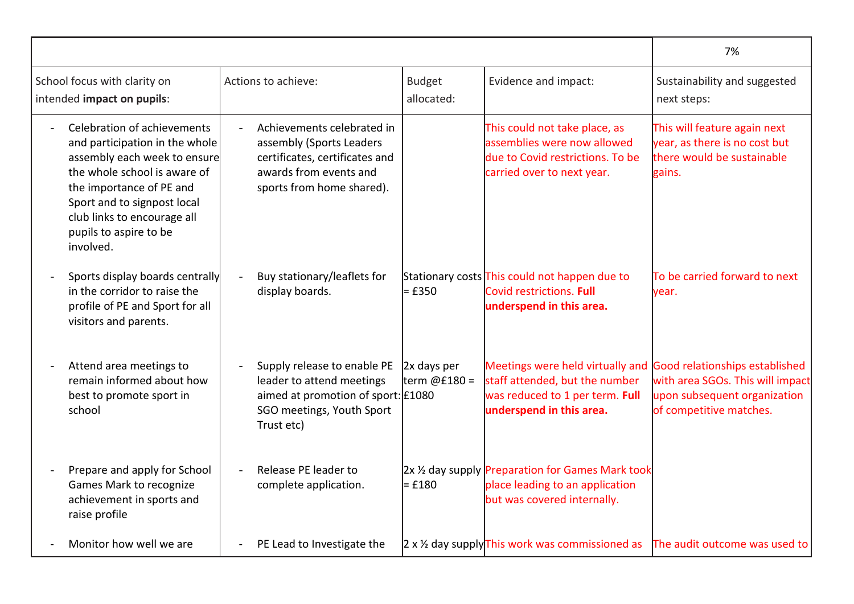|                                                                                                                                                                                                                                                                |                                                                                                                                                 |                               |                                                                                                                                                                  | 7%                                                                                                    |
|----------------------------------------------------------------------------------------------------------------------------------------------------------------------------------------------------------------------------------------------------------------|-------------------------------------------------------------------------------------------------------------------------------------------------|-------------------------------|------------------------------------------------------------------------------------------------------------------------------------------------------------------|-------------------------------------------------------------------------------------------------------|
| School focus with clarity on<br>intended impact on pupils:                                                                                                                                                                                                     | Actions to achieve:                                                                                                                             | <b>Budget</b><br>allocated:   | Evidence and impact:                                                                                                                                             | Sustainability and suggested<br>next steps:                                                           |
| Celebration of achievements<br>and participation in the whole<br>assembly each week to ensure<br>the whole school is aware of<br>the importance of PE and<br>Sport and to signpost local<br>club links to encourage all<br>pupils to aspire to be<br>involved. | Achievements celebrated in<br>assembly (Sports Leaders<br>certificates, certificates and<br>awards from events and<br>sports from home shared). |                               | This could not take place, as<br>assemblies were now allowed<br>due to Covid restrictions. To be<br>carried over to next year.                                   | This will feature again next<br>year, as there is no cost but<br>there would be sustainable<br>gains. |
| Sports display boards centrally<br>in the corridor to raise the<br>profile of PE and Sport for all<br>visitors and parents.                                                                                                                                    | Buy stationary/leaflets for<br>display boards.                                                                                                  | = £350                        | Stationary costs This could not happen due to<br>Covid restrictions. Full<br>underspend in this area.                                                            | To be carried forward to next<br>vear.                                                                |
| Attend area meetings to<br>remain informed about how<br>best to promote sport in<br>school                                                                                                                                                                     | Supply release to enable PE<br>leader to attend meetings<br>aimed at promotion of sport: £1080<br>SGO meetings, Youth Sport<br>Trust etc)       | $2x$ days per<br>term @£180 = | Meetings were held virtually and Good relationships established<br>staff attended, but the number<br>was reduced to 1 per term. Full<br>underspend in this area. | with area SGOs. This will impact<br>upon subsequent organization<br>of competitive matches.           |
| Prepare and apply for School<br>Games Mark to recognize<br>achievement in sports and<br>raise profile                                                                                                                                                          | Release PE leader to<br>complete application.                                                                                                   | = £180                        | 2x 1/2 day supply Preparation for Games Mark took<br>place leading to an application<br>but was covered internally.                                              |                                                                                                       |
| Monitor how well we are                                                                                                                                                                                                                                        | PE Lead to Investigate the                                                                                                                      |                               | $2 \times 12$ day supply This work was commissioned as                                                                                                           | The audit outcome was used to                                                                         |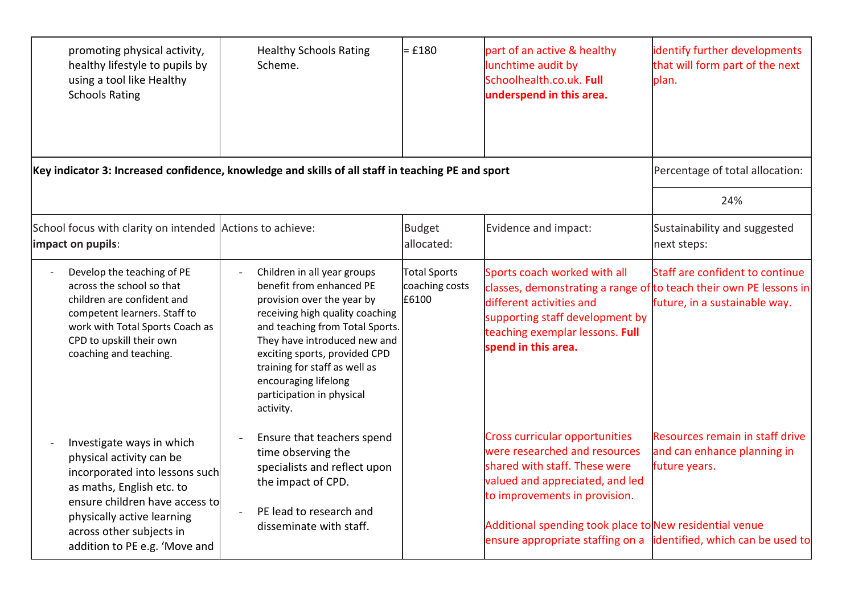| promoting physical activity,<br>healthy lifestyle to pupils by<br>using a tool like Healthy<br><b>Schools Rating</b>                                                                                                                              | <b>Healthy Schools Rating</b><br>Scheme.                                                                                                                                                                                                                                                                                        | $=$ £180                                | part of an active & healthy<br>lunchtime audit by<br>Schoolhealth.co.uk. Full<br>underspend in this area.                                                                                                                                                                                                    | identify further developments<br>that will form part of the next<br>plan.       |
|---------------------------------------------------------------------------------------------------------------------------------------------------------------------------------------------------------------------------------------------------|---------------------------------------------------------------------------------------------------------------------------------------------------------------------------------------------------------------------------------------------------------------------------------------------------------------------------------|-----------------------------------------|--------------------------------------------------------------------------------------------------------------------------------------------------------------------------------------------------------------------------------------------------------------------------------------------------------------|---------------------------------------------------------------------------------|
| Key indicator 3: Increased confidence, knowledge and skills of all staff in teaching PE and sport                                                                                                                                                 |                                                                                                                                                                                                                                                                                                                                 |                                         |                                                                                                                                                                                                                                                                                                              | Percentage of total allocation:                                                 |
|                                                                                                                                                                                                                                                   |                                                                                                                                                                                                                                                                                                                                 |                                         |                                                                                                                                                                                                                                                                                                              | 24%                                                                             |
| School focus with clarity on intended Actions to achieve:<br>impact on pupils:                                                                                                                                                                    |                                                                                                                                                                                                                                                                                                                                 | Budget<br>allocated:                    | Evidence and impact:                                                                                                                                                                                                                                                                                         | Sustainability and suggested<br>next steps:                                     |
| Develop the teaching of PE<br>across the school so that<br>children are confident and<br>competent learners. Staff to<br>work with Total Sports Coach as<br>CPD to upskill their own<br>coaching and teaching.                                    | Children in all year groups<br>benefit from enhanced PE<br>provision over the year by<br>receiving high quality coaching<br>and teaching from Total Sports.<br>They have introduced new and<br>exciting sports, provided CPD<br>training for staff as well as<br>encouraging lifelong<br>participation in physical<br>activity. | Total Sports<br>coaching costs<br>£6100 | Sports coach worked with all<br>classes, demonstrating a range of to teach their own PE lessons in<br>different activities and<br>supporting staff development by<br>teaching exemplar lessons. Full<br>spend in this area.                                                                                  | Staff are confident to continue<br>future, in a sustainable way.                |
| Investigate ways in which<br>physical activity can be<br>incorporated into lessons such<br>as maths, English etc. to<br>ensure children have access to<br>physically active learning<br>across other subjects in<br>addition to PE e.g. 'Move and | Ensure that teachers spend<br>time observing the<br>specialists and reflect upon<br>the impact of CPD.<br>PE lead to research and<br>disseminate with staff.                                                                                                                                                                    |                                         | <b>Cross curricular opportunities</b><br>were researched and resources<br>shared with staff. These were<br>valued and appreciated, and led<br>to improvements in provision.<br>Additional spending took place to New residential venue<br>ensure appropriate staffing on a lidentified, which can be used to | Resources remain in staff drive<br>and can enhance planning in<br>future years. |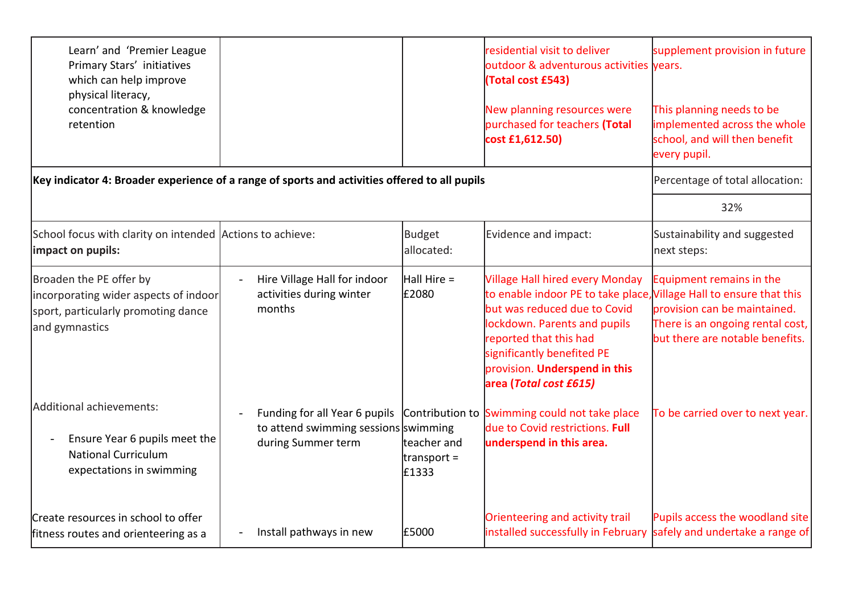| Learn' and 'Premier League<br>Primary Stars' initiatives<br>which can help improve<br>physical literacy,<br>concentration & knowledge<br>retention |                                                                    |                                              | residential visit to deliver<br>outdoor & adventurous activities years.<br>(Total cost £543)<br>New planning resources were<br>purchased for teachers (Total<br>cost £1,612.50)                                                                                                                  | supplement provision in future<br>This planning needs to be<br>implemented across the whole<br>school, and will then benefit<br>every pupil. |
|----------------------------------------------------------------------------------------------------------------------------------------------------|--------------------------------------------------------------------|----------------------------------------------|--------------------------------------------------------------------------------------------------------------------------------------------------------------------------------------------------------------------------------------------------------------------------------------------------|----------------------------------------------------------------------------------------------------------------------------------------------|
| Key indicator 4: Broader experience of a range of sports and activities offered to all pupils                                                      |                                                                    |                                              |                                                                                                                                                                                                                                                                                                  | Percentage of total allocation:                                                                                                              |
|                                                                                                                                                    |                                                                    |                                              |                                                                                                                                                                                                                                                                                                  | 32%                                                                                                                                          |
| School focus with clarity on intended Actions to achieve:<br>impact on pupils:                                                                     |                                                                    | <b>Budget</b><br>allocated:                  | Evidence and impact:                                                                                                                                                                                                                                                                             | Sustainability and suggested<br>next steps:                                                                                                  |
| Broaden the PE offer by<br>incorporating wider aspects of indoor<br>sport, particularly promoting dance<br>and gymnastics                          | Hire Village Hall for indoor<br>activities during winter<br>months | $Hall Hire =$<br>£2080                       | <b>Village Hall hired every Monday</b><br>to enable indoor PE to take place, Village Hall to ensure that this<br>but was reduced due to Covid<br>lockdown. Parents and pupils<br>reported that this had<br>significantly benefited PE<br>provision. Underspend in this<br>area (Total cost £615) | Equipment remains in the<br>provision can be maintained.<br>There is an ongoing rental cost,<br>but there are notable benefits.              |
| Additional achievements:<br>Ensure Year 6 pupils meet the<br><b>National Curriculum</b><br>expectations in swimming                                | to attend swimming sessions swimming<br>during Summer term         | teacher and<br>$\text{transport} =$<br>£1333 | Funding for all Year 6 pupils Contribution to Swimming could not take place<br>due to Covid restrictions. Full<br>underspend in this area.                                                                                                                                                       | To be carried over to next year.                                                                                                             |
| Create resources in school to offer<br>fitness routes and orienteering as a                                                                        | Install pathways in new                                            | E5000                                        | Orienteering and activity trail<br>installed successfully in February                                                                                                                                                                                                                            | Pupils access the woodland site<br>safely and undertake a range of                                                                           |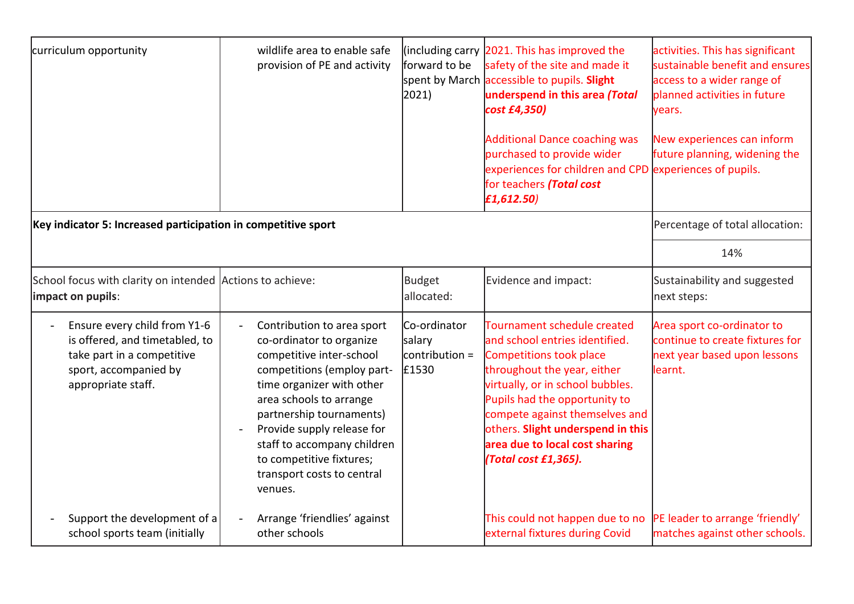| curriculum opportunity                                                                                                                      | wildlife area to enable safe<br>provision of PE and activity                                                                                                                                                                                                                                                                           | forward to be<br>2021)                            | lincluding carry $2021$ . This has improved the<br>safety of the site and made it<br>spent by March accessible to pupils. Slight<br>underspend in this area (Total<br>cost £4,350)<br><b>Additional Dance coaching was</b><br>purchased to provide wider<br>experiences for children and CPD experiences of pupils.<br>for teachers (Total cost<br>f1,612.50 | activities. This has significant<br>sustainable benefit and ensures<br>access to a wider range of<br>planned activities in future<br>years.<br>New experiences can inform<br>future planning, widening the |
|---------------------------------------------------------------------------------------------------------------------------------------------|----------------------------------------------------------------------------------------------------------------------------------------------------------------------------------------------------------------------------------------------------------------------------------------------------------------------------------------|---------------------------------------------------|--------------------------------------------------------------------------------------------------------------------------------------------------------------------------------------------------------------------------------------------------------------------------------------------------------------------------------------------------------------|------------------------------------------------------------------------------------------------------------------------------------------------------------------------------------------------------------|
| Key indicator 5: Increased participation in competitive sport                                                                               |                                                                                                                                                                                                                                                                                                                                        |                                                   |                                                                                                                                                                                                                                                                                                                                                              | Percentage of total allocation:                                                                                                                                                                            |
|                                                                                                                                             |                                                                                                                                                                                                                                                                                                                                        |                                                   |                                                                                                                                                                                                                                                                                                                                                              | 14%                                                                                                                                                                                                        |
|                                                                                                                                             |                                                                                                                                                                                                                                                                                                                                        |                                                   |                                                                                                                                                                                                                                                                                                                                                              |                                                                                                                                                                                                            |
| School focus with clarity on intended Actions to achieve:<br>impact on pupils:                                                              |                                                                                                                                                                                                                                                                                                                                        | <b>Budget</b><br>allocated:                       | Evidence and impact:                                                                                                                                                                                                                                                                                                                                         | Sustainability and suggested<br>next steps:                                                                                                                                                                |
| Ensure every child from Y1-6<br>is offered, and timetabled, to<br>take part in a competitive<br>sport, accompanied by<br>appropriate staff. | Contribution to area sport<br>co-ordinator to organize<br>competitive inter-school<br>competitions (employ part-<br>time organizer with other<br>area schools to arrange<br>partnership tournaments)<br>Provide supply release for<br>staff to accompany children<br>to competitive fixtures;<br>transport costs to central<br>venues. | Co-ordinator<br>salary<br>contribution =<br>£1530 | Tournament schedule created<br>and school entries identified.<br><b>Competitions took place</b><br>throughout the year, either<br>virtually, or in school bubbles.<br>Pupils had the opportunity to<br>compete against themselves and<br>others. Slight underspend in this<br>area due to local cost sharing<br>(Total cost £1,365).                         | Area sport co-ordinator to<br>continue to create fixtures for<br>next year based upon lessons<br>learnt.                                                                                                   |
| Support the development of a<br>school sports team (initially                                                                               | Arrange 'friendlies' against<br>other schools                                                                                                                                                                                                                                                                                          |                                                   | This could not happen due to no<br>external fixtures during Covid                                                                                                                                                                                                                                                                                            | PE leader to arrange 'friendly'<br>matches against other schools.                                                                                                                                          |